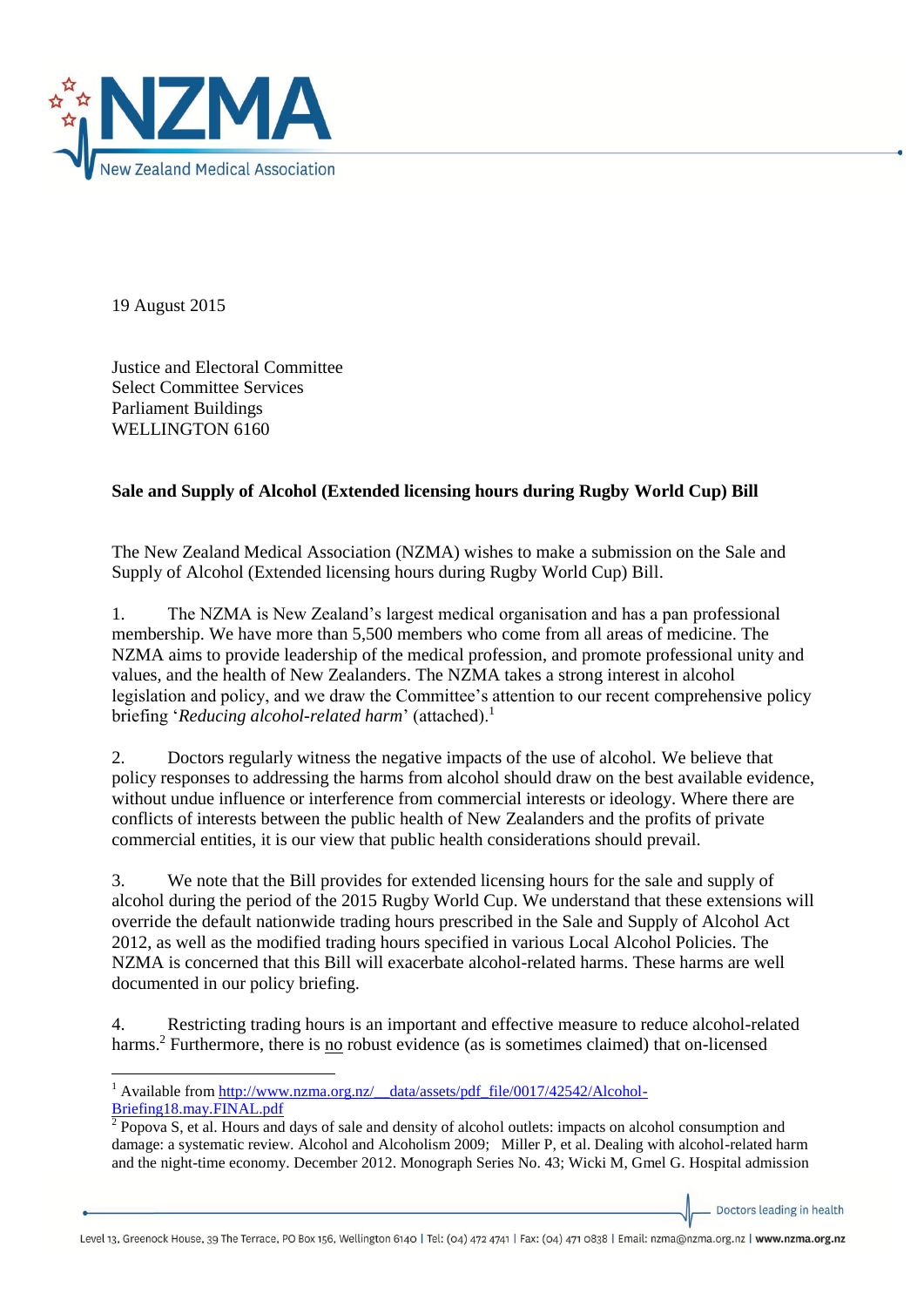

19 August 2015

Justice and Electoral Committee Select Committee Services Parliament Buildings WELLINGTON 6160

## **Sale and Supply of Alcohol (Extended licensing hours during Rugby World Cup) Bill**

The New Zealand Medical Association (NZMA) wishes to make a submission on the Sale and Supply of Alcohol (Extended licensing hours during Rugby World Cup) Bill.

1. The NZMA is New Zealand's largest medical organisation and has a pan professional membership. We have more than 5,500 members who come from all areas of medicine. The NZMA aims to provide leadership of the medical profession, and promote professional unity and values, and the health of New Zealanders. The NZMA takes a strong interest in alcohol legislation and policy, and we draw the Committee's attention to our recent comprehensive policy briefing '*Reducing alcohol-related harm*' (attached).<sup>1</sup>

2. Doctors regularly witness the negative impacts of the use of alcohol. We believe that policy responses to addressing the harms from alcohol should draw on the best available evidence, without undue influence or interference from commercial interests or ideology. Where there are conflicts of interests between the public health of New Zealanders and the profits of private commercial entities, it is our view that public health considerations should prevail.

3. We note that the Bill provides for extended licensing hours for the sale and supply of alcohol during the period of the 2015 Rugby World Cup. We understand that these extensions will override the default nationwide trading hours prescribed in the Sale and Supply of Alcohol Act 2012, as well as the modified trading hours specified in various Local Alcohol Policies. The NZMA is concerned that this Bill will exacerbate alcohol-related harms. These harms are well documented in our policy briefing.

4. Restricting trading hours is an important and effective measure to reduce alcohol-related harms.<sup>2</sup> Furthermore, there is no robust evidence (as is sometimes claimed) that on-licensed

Doctors leading in health

Level 13, Greenock House, 39 The Terrace, PO Box 156, Wellington 6140 | Tel: (04) 472 4741 | Fax: (04) 471 0838 | Email: nzma@nzma.org.nz | www.nzma.org.nz

**<sup>.</sup>** <sup>1</sup> Available from http://www.nzma.org.nz/ data/assets/pdf file/0017/42542/Alcohol-[Briefing18.may.FINAL.pdf](http://www.nzma.org.nz/__data/assets/pdf_file/0017/42542/Alcohol-Briefing18.may.FINAL.pdf)

<sup>&</sup>lt;sup>2</sup> Popova S, et al. Hours and days of sale and density of alcohol outlets: impacts on alcohol consumption and damage: a systematic review. Alcohol and Alcoholism 2009; Miller P, et al. Dealing with alcohol-related harm and the night-time economy. December 2012. Monograph Series No. 43; Wicki M, Gmel G. Hospital admission